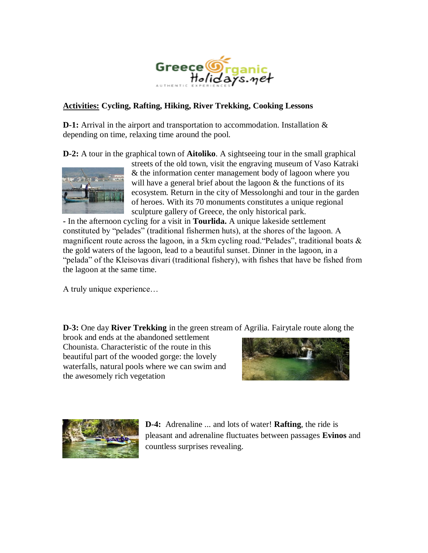

## **Activities: Cycling, Rafting, Hiking, River Trekking, Cooking Lessons**

**D-1:** Arrival in the airport and transportation to accommodation. Installation & depending on time, relaxing time around the pool.

**D-2:** A tour in the graphical town of **Aitoliko**. A sightseeing tour in the small graphical



streets of the old town, visit the engraving museum of Vaso Katraki & the information center management body of lagoon where you will have a general brief about the lagoon  $\&$  the functions of its ecosystem. Return in the city of Messolonghi and tour in the garden of heroes. With its 70 monuments constitutes a unique regional sculpture gallery of Greece, the only historical park.

**-** In the afternoon cycling for a visit in **Tourlida.** A unique lakeside settlement constituted by "pelades" (traditional fishermen huts), at the shores of the lagoon. A magnificent route across the lagoon, in a 5km cycling road. "Pelades", traditional boats  $\&$ the gold waters of the lagoon, lead to a beautiful sunset. Dinner in the lagoon, in a "pelada" of the Kleisovas divari (traditional fishery), with fishes that have be fished from the lagoon at the same time.

A truly unique experience…

**D-3:** One day **River Trekking** in the green stream of Agrilia. Fairytale route along the

brook and ends at the abandoned settlement Chounista. Characteristic of the route in this beautiful part of the wooded gorge: the lovely waterfalls, natural pools where we can swim and the awesomely rich vegetation





**D-4:** Adrenaline ... and lots of water! **Rafting**, the ride is pleasant and adrenaline fluctuates between passages **Evinos** and countless surprises revealing.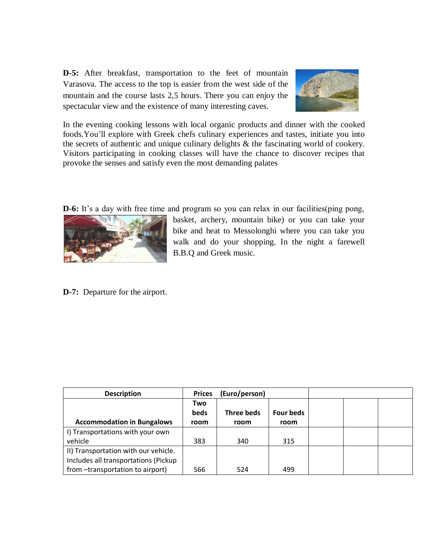**D-5:** After breakfast, transportation to the feet of mountain Varasova. The access to the top is easier from the west side of the mountain and the course lasts 2,5 hours. There you can enjoy the spectacular view and the existence of many interesting caves.



In the evening cooking lessons with local organic products and dinner with the cooked foods.You'll explore with Greek chefs culinary experiences and tastes, initiate you into the secrets of authentic and unique culinary delights & the fascinating world of cookery. Visitors participating in cooking classes will have the chance to discover recipes that provoke the senses and satisfy even the most demanding palates

**D-6:** It's a day with free time and program so you can relax in our facilities(ping pong,



basket, archery, mountain bike) or you can take your bike and heat to Messolonghi where you can take you walk and do your shopping. In the night a farewell B.B.Q and Greek music.

**D-7:** Departure for the airport.

| <b>Description</b>                   | <b>Prices</b>      | (Euro/person)     |           |  |  |
|--------------------------------------|--------------------|-------------------|-----------|--|--|
|                                      | Two<br><b>beds</b> | <b>Three beds</b> | Four beds |  |  |
| <b>Accommodation in Bungalows</b>    | room               | room              | room      |  |  |
| I) Transportations with your own     |                    |                   |           |  |  |
| vehicle                              | 383                | 340               | 315       |  |  |
| II) Transportation with our vehicle. |                    |                   |           |  |  |
| Includes all transportations (Pickup |                    |                   |           |  |  |
| from -transportation to airport)     | 566                | 524               | 499       |  |  |